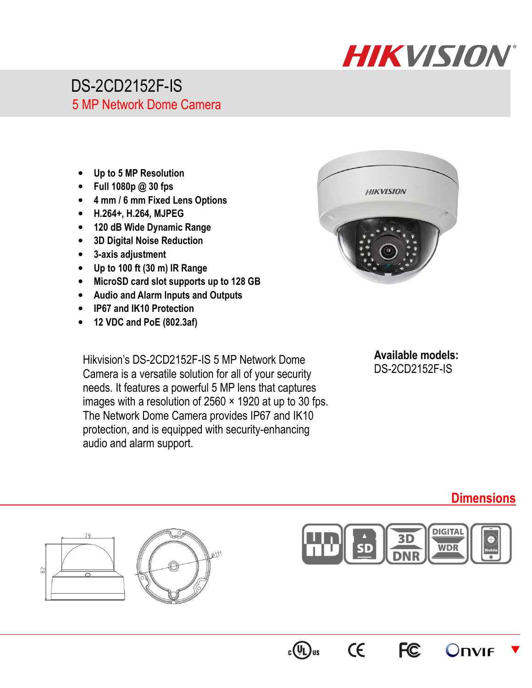

## DS-2CD2152F-IS 5 MP Network Dome Camera

- **Up to 5 MP Resolution**
- **Full 1080p @ 30 fps**
- **4 mm / 6 mm Fixed Lens Options**
- **H.264+, H.264, MJPEG**
- **120 dB Wide Dynamic Range**
- **3D Digital Noise Reduction**
- **3-axis adjustment**
- **Up to 100 ft (30 m) IR Range**
- **MicroSD card slot supports up to 128 GB**
- **Audio and Alarm Inputs and Outputs**
- **IP67 and IK10 Protection**
- **12 VDC and PoE (802.3af)**

Hikvision's DS-2CD2152F-IS 5 MP Network Dome Camera is a versatile solution for all of your security needs. It features a powerful 5 MP lens that captures images with a resolution of  $2560 \times 1920$  at up to 30 fps. The Network Dome Camera provides IP67 and IK10 protection, and is equipped with security-enhancing audio and alarm support.



**Available models:**  DS-2CD2152F-IS

## **Dimensions**

 $\blacktriangledown$ 









CE